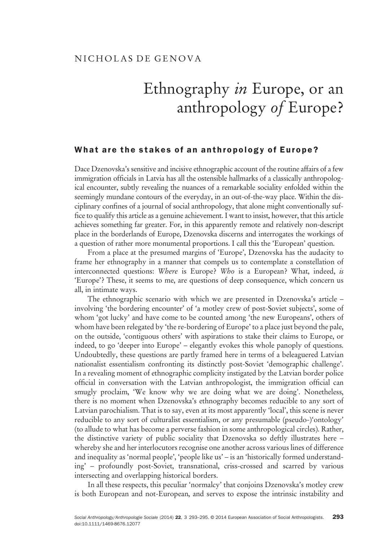## Ethnography in Europe, or an anthropology of Europe?

## What are the stakes of an antibox of an antibox of  $\mathbf{y}$

Dace Dzenovska's sensitive and incisive ethnographic account of the routine affairs of a few immigration officials in Latvia has all the ostensible hallmarks of a classically anthropological encounter, subtly revealing the nuances of a remarkable sociality enfolded within the seemingly mundane contours of the everyday, in an out-of-the-way place. Within the disciplinary confines of a journal of social anthropology, that alone might conventionally suffice to qualify this article as a genuine achievement. I want to insist, however, that this article achieves something far greater. For, in this apparently remote and relatively non-descript place in the borderlands of Europe, Dzenovska discerns and interrogates the workings of a question of rather more monumental proportions. I call this the 'European' question.

From a place at the presumed margins of 'Europe', Dzenovska has the audacity to frame her ethnography in a manner that compels us to contemplate a constellation of interconnected questions: Where is Europe? Who is a European? What, indeed, is 'Europe'? These, it seems to me, are questions of deep consequence, which concern us all, in intimate ways.

The ethnographic scenario with which we are presented in Dzenovska's article – involving 'the bordering encounter' of 'a motley crew of post-Soviet subjects', some of whom 'got lucky' and have come to be counted among 'the new Europeans', others of whom have been relegated by 'the re-bordering of Europe' to a place just beyond the pale, on the outside, 'contiguous others' with aspirations to stake their claims to Europe, or indeed, to go 'deeper into Europe' – elegantly evokes this whole panoply of questions. Undoubtedly, these questions are partly framed here in terms of a beleaguered Latvian nationalist essentialism confronting its distinctly post-Soviet 'demographic challenge'. In a revealing moment of ethnographic complicity instigated by the Latvian border police official in conversation with the Latvian anthropologist, the immigration official can smugly proclaim, 'We know why we are doing what we are doing'. Nonetheless, there is no moment when Dzenovska's ethnography becomes reducible to any sort of Latvian parochialism. That is to say, even at its most apparently 'local', this scene is never reducible to any sort of culturalist essentialism, or any presumable (pseudo-)'ontology' (to allude to what has become a perverse fashion in some anthropological circles). Rather, the distinctive variety of public sociality that Dzenovska so deftly illustrates here – whereby she and her interlocutors recognise one another across various lines of difference and inequality as 'normal people', 'people like us' – is an 'historically formed understanding' – profoundly post-Soviet, transnational, criss-crossed and scarred by various intersecting and overlapping historical borders.

In all these respects, this peculiar 'normalcy' that conjoins Dzenovska's motley crew is both European and not-European, and serves to expose the intrinsic instability and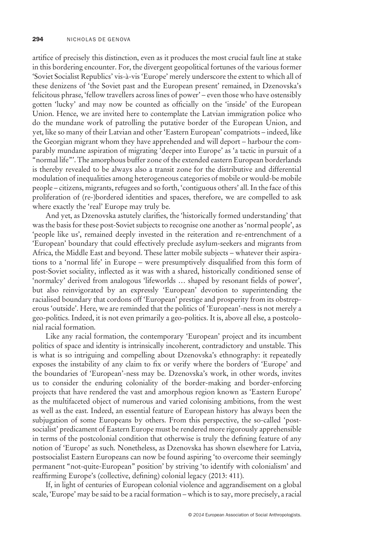artifice of precisely this distinction, even as it produces the most crucial fault line at stake in this bordering encounter. For, the divergent geopolitical fortunes of the various former 'Soviet Socialist Republics' vis-à-vis 'Europe' merely underscore the extent to which all of these denizens of 'the Soviet past and the European present' remained, in Dzenovska's felicitous phrase, 'fellow travellers across lines of power' – even those who have ostensibly gotten 'lucky' and may now be counted as officially on the 'inside' of the European Union. Hence, we are invited here to contemplate the Latvian immigration police who do the mundane work of patrolling the putative border of the European Union, and yet, like so many of their Latvian and other 'Eastern European' compatriots – indeed, like the Georgian migrant whom they have apprehended and will deport – harbour the comparably mundane aspiration of migrating 'deeper into Europe' as 'a tactic in pursuit of a "normal life"'. The amorphous buffer zone of the extended eastern European borderlands is thereby revealed to be always also a transit zone for the distributive and differential modulation of inequalities among heterogeneous categories of mobile or would-be mobile people – citizens, migrants, refugees and so forth, 'contiguous others' all. In the face of this proliferation of (re-)bordered identities and spaces, therefore, we are compelled to ask where exactly the 'real' Europe may truly be.

And yet, as Dzenovska astutely clarifies, the 'historically formed understanding' that was the basis for these post-Soviet subjects to recognise one another as 'normal people', as 'people like us', remained deeply invested in the reiteration and re-entrenchment of a 'European' boundary that could effectively preclude asylum-seekers and migrants from Africa, the Middle East and beyond. These latter mobile subjects – whatever their aspirations to a 'normal life' in Europe – were presumptively disqualified from this form of post-Soviet sociality, inflected as it was with a shared, historically conditioned sense of 'normalcy' derived from analogous 'lifeworlds … shaped by resonant fields of power', but also reinvigorated by an expressly 'European' devotion to superintending the racialised boundary that cordons off 'European' prestige and prosperity from its obstreperous 'outside'. Here, we are reminded that the politics of 'European'-ness is not merely a geo-politics. Indeed, it is not even primarily a geo-politics. It is, above all else, a postcolonial racial formation.

Like any racial formation, the contemporary 'European' project and its incumbent politics of space and identity is intrinsically incoherent, contradictory and unstable. This is what is so intriguing and compelling about Dzenovska's ethnography: it repeatedly exposes the instability of any claim to fix or verify where the borders of 'Europe' and the boundaries of 'European'-ness may be. Dzenovska's work, in other words, invites us to consider the enduring coloniality of the border-making and border-enforcing projects that have rendered the vast and amorphous region known as 'Eastern Europe' as the multifaceted object of numerous and varied colonising ambitions, from the west as well as the east. Indeed, an essential feature of European history has always been the subjugation of some Europeans by others. From this perspective, the so-called 'postsocialist' predicament of Eastern Europe must be rendered more rigorously apprehensible in terms of the postcolonial condition that otherwise is truly the defining feature of any notion of 'Europe' as such. Nonetheless, as Dzenovska has shown elsewhere for Latvia, postsocialist Eastern Europeans can now be found aspiring 'to overcome their seemingly permanent "not-quite-European" position' by striving 'to identify with colonialism' and reaffirming Europe's (collective, defining) colonial legacy (2013: 411).

If, in light of centuries of European colonial violence and aggrandisement on a global scale, 'Europe' may be said to be a racial formation – which is to say, more precisely, a racial